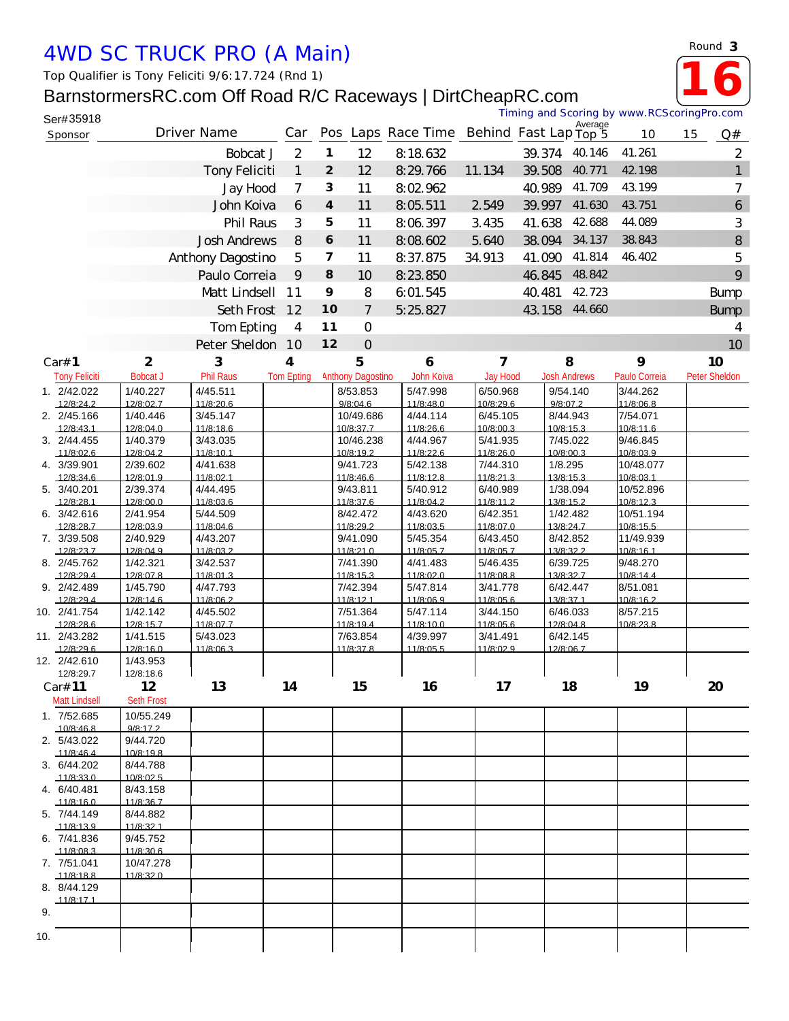## *4WD SC TRUCK PRO (A Main)*

## BarnstormersRC.com Off Road R/C Raceways | DirtC

| Ser#35918 | BarnstormersRC.com Off Road R/C Raceways   DirtCheapRC.com |                |                |          |                                          |        | Timing and Scoring by www.RCScoringPro.com |         |        |    |                 |
|-----------|------------------------------------------------------------|----------------|----------------|----------|------------------------------------------|--------|--------------------------------------------|---------|--------|----|-----------------|
| Sponsor   | Driver Name                                                | Car            |                |          | Pos Laps Race Time Behind Fast Lap Top 5 |        |                                            | Average | 10     | 15 | Q#              |
|           | Bobcat J                                                   | 2              | 1              | 12       | 8:18.632                                 |        | 39.374                                     | 40.146  | 41.261 |    | 2               |
|           | Tony Feliciti                                              |                | $\overline{2}$ | 12       | 8:29.766                                 | 11.134 | 39.508                                     | 40.771  | 42.198 |    | 1               |
|           | Jay Hood                                                   | 7              | 3              | 11       | 8:02.962                                 |        | 40.989                                     | 41.709  | 43.199 |    |                 |
|           | John Koiva                                                 | 6              | 4              | 11       | 8:05.511                                 | 2.549  | 39.997                                     | 41.630  | 43.751 |    | 6               |
|           | Phil Raus                                                  | 3              | 5              | 11       | 8:06.397                                 | 3.435  | 41.638                                     | 42.688  | 44.089 |    | 3               |
|           | <b>Josh Andrews</b>                                        | 8              | 6              | 11       | 8:08.602                                 | 5.640  | 38.094 34.137                              |         | 38.843 |    | $\,8\,$         |
|           | Anthony Dagostino                                          | 5              | 7              | 11       | 8:37.875                                 | 34.913 | 41.090                                     | 41.814  | 46.402 |    | 5               |
|           | Paulo Correia                                              | 9              | 8              | 10       | 8:23.850                                 |        | 46.845                                     | 48.842  |        |    | 9               |
|           | Matt Lindsell                                              | 11             | 9              | 8        | 6:01.545                                 |        | 40.481                                     | 42.723  |        |    | <b>Bump</b>     |
|           | Seth Frost                                                 | 12             | 10             | 7        | 5:25.827                                 |        | 43.158                                     | 44.660  |        |    | <b>Bump</b>     |
|           | Tom Epting                                                 | $\overline{4}$ | 11             | 0        |                                          |        |                                            |         |        |    | 4               |
|           | Peter Sheldon                                              | 10             | 12             | $\Omega$ |                                          |        |                                            |         |        |    | 10 <sup>°</sup> |

|     |                          |                       | Tom Epting       | 4                 | $11$<br>O                |            |                |                     |               | $\overline{4}$  |
|-----|--------------------------|-----------------------|------------------|-------------------|--------------------------|------------|----------------|---------------------|---------------|-----------------|
|     |                          |                       | Peter Sheldon    | 10                | 12<br>$\overline{O}$     |            |                |                     |               | 10 <sup>°</sup> |
|     | Car# 1                   | $\overline{2}$        | 3                | 4                 | 5                        | 6          | $\overline{7}$ | 8                   | 9             | 10              |
|     | <b>Tony Feliciti</b>     | <b>BobcatJ</b>        | <b>Phil Raus</b> | <b>Tom Epting</b> | <b>Anthony Dagostino</b> | John Koiva | Jay Hood       | <b>Josh Andrews</b> | Paulo Correia | Peter Sheldon   |
|     | 1. 2/42.022              | 1/40.227              | 4/45.511         |                   | 8/53.853                 | 5/47.998   | 6/50.968       | 9/54.140            | 3/44.262      |                 |
|     | 12/8:24.2                | 12/8:02.7             | 11/8:20.6        |                   | 9/8:04.6                 | 11/8:48.0  | 10/8:29.6      | 9/8:07.2            | 11/8:06.8     |                 |
|     | 2. 2/45.166              | 1/40.446              | 3/45.147         |                   | 10/49.686                | 4/44.114   | 6/45.105       | 8/44.943            | 7/54.071      |                 |
|     | 12/8:431                 | 12/8:04.0             | 11/8.186         |                   | 10/8:37.7                | 11/8.266   | 10/8:00.3      | 10/8:15.3           | 10/8.116      |                 |
|     | 3. 2/44.455              | 1/40.379              | 3/43.035         |                   | 10/46.238                | 4/44.967   | 5/41.935       | 7/45.022            | 9/46.845      |                 |
|     | 11/8:02.6                | 12/8:04.2             | 11/8:10.1        |                   | 10/8:19.2                | 11/8:22.6  | 11/8:26.0      | 10/8:00.3           | 10/8:03.9     |                 |
|     | 4. 3/39.901              | 2/39.602              | 4/41.638         |                   | 9/41.723                 | 5/42.138   | 7/44.310       | 1/8.295             | 10/48.077     |                 |
|     | 12/8:34.6                | 12/8:01.9             | 11/8:02.1        |                   | 11/8:46.6                | 11/8:12.8  | 11/8:21.3      | 13/8:15.3           | 10/8:03.1     |                 |
|     | 5. 3/40.201              | 2/39.374              | 4/44.495         |                   | 9/43.811                 | 5/40.912   | 6/40.989       | 1/38.094            | 10/52.896     |                 |
|     | 12/8.281                 | 12/8:000              | 11/8.036         |                   | 11/8:37.6                | 11/8.042   | 11/8.112       | 13/8.15.2           | 10/8:12.3     |                 |
|     | 6.3/42.616               | 2/41.954              | 5/44.509         |                   | 8/42.472                 | 4/43.620   | 6/42.351       | 1/42.482            | 10/51.194     |                 |
|     | 12/8:28.7                | 12/8:03.9             | 11/8:04.6        |                   | 11/8:29.2                | 11/8:03.5  | 11/8:07.0      | 13/8:24.7           | 10/8:15.5     |                 |
|     | 7. 3/39.508              | 2/40.929              | 4/43.207         |                   | 9/41.090                 | 5/45.354   | 6/43.450       | 8/42.852            | 11/49.939     |                 |
|     | 12/8:23.7                | 12/8:04.9             | 11/8:03.2        |                   | 11/8:21.0                | 11/8:05.7  | 11/8:05.7      | 13/8:32.2           | 10/8:16.1     |                 |
|     | 8. 2/45.762              | 1/42.321              | 3/42.537         |                   | 7/41.390                 | 4/41.483   | 5/46.435       | 6/39.725            | 9/48.270      |                 |
|     | 12/8:29.4                | 12/8:07.8             | 11/8:01.3        |                   | 11/8:15.3                | 11/8:02.0  | 11/8:08.8      | 13/8:32.7           | 10/8:14.4     |                 |
|     | 9. 2/42.489              | 1/45.790              | 4/47.793         |                   | 7/42.394                 | 5/47.814   | 3/41.778       | 6/42.447            | 8/51.081      |                 |
|     | 12/8:29.4                | 12/8:14.6             | 11/8:06.2        |                   | 11/8:12.1                | 11/8:06.9  | 11/8:05.6      | 13/8:37.1           | 10/8:16.2     |                 |
|     | 10. 2/41.754             | 1/42.142              | 4/45.502         |                   | 7/51.364                 | 5/47.114   | 3/44.150       | 6/46.033            | 8/57.215      |                 |
|     | 12/8:28.6                | 12/8:15.7             | 11/8:07.7        |                   | 11/8:19.4                | 11/8:10.0  | 11/8:05.6      | 12/8:04.8           | 10/8:23.8     |                 |
|     | 11. 2/43.282             | 1/41.515              | 5/43.023         |                   | 7/63.854                 | 4/39.997   | 3/41.491       | 6/42.145            |               |                 |
|     | 12/8:29.6                | 12/8:16.0             | 11/8:06.3        |                   | 11/8:37.8                | 11/8:05.5  | 11/8:02.9      | 12/8:06.7           |               |                 |
|     | 12. 2/42.610             | 1/43.953              |                  |                   |                          |            |                |                     |               |                 |
|     | 12/8:29.7                | 12/8:18.6             |                  | 14                |                          |            |                |                     |               |                 |
|     | Car# 11                  | 12                    | 13               |                   | 15                       | 16         | 17             | 18                  | 19            | 20              |
|     | <b>Matt Lindsell</b>     | <b>Seth Frost</b>     |                  |                   |                          |            |                |                     |               |                 |
|     | 1. 7/52.685              | 10/55.249             |                  |                   |                          |            |                |                     |               |                 |
|     | 10/8:46.8                | 9/8:17.2              |                  |                   |                          |            |                |                     |               |                 |
|     | 2. 5/43.022              | 9/44.720              |                  |                   |                          |            |                |                     |               |                 |
|     | 11/8:46.4                | 10/8:19.8             |                  |                   |                          |            |                |                     |               |                 |
|     | 3. 6/44.202              | 8/44.788              |                  |                   |                          |            |                |                     |               |                 |
|     | 11/8:33.0                | 10/8:02.5<br>8/43.158 |                  |                   |                          |            |                |                     |               |                 |
|     | 4. 6/40.481<br>11/8:16.0 | 11/8:36.7             |                  |                   |                          |            |                |                     |               |                 |
|     | 5. 7/44.149              | 8/44.882              |                  |                   |                          |            |                |                     |               |                 |
|     | 11/8:13.9                | 11/8:32.1             |                  |                   |                          |            |                |                     |               |                 |
|     | 6. 7/41.836              | 9/45.752              |                  |                   |                          |            |                |                     |               |                 |
|     | 11/8:08.3                | 11/8:30.6             |                  |                   |                          |            |                |                     |               |                 |
|     | 7. 7/51.041              | 10/47.278             |                  |                   |                          |            |                |                     |               |                 |
|     | 11/8:18.8                | 11/8:32.0             |                  |                   |                          |            |                |                     |               |                 |
|     | 8. 8/44.129              |                       |                  |                   |                          |            |                |                     |               |                 |
|     | 11/8:17.1                |                       |                  |                   |                          |            |                |                     |               |                 |
| 9.  |                          |                       |                  |                   |                          |            |                |                     |               |                 |
|     |                          |                       |                  |                   |                          |            |                |                     |               |                 |
| 10. |                          |                       |                  |                   |                          |            |                |                     |               |                 |
|     |                          |                       |                  |                   |                          |            |                |                     |               |                 |

*Round* **3**